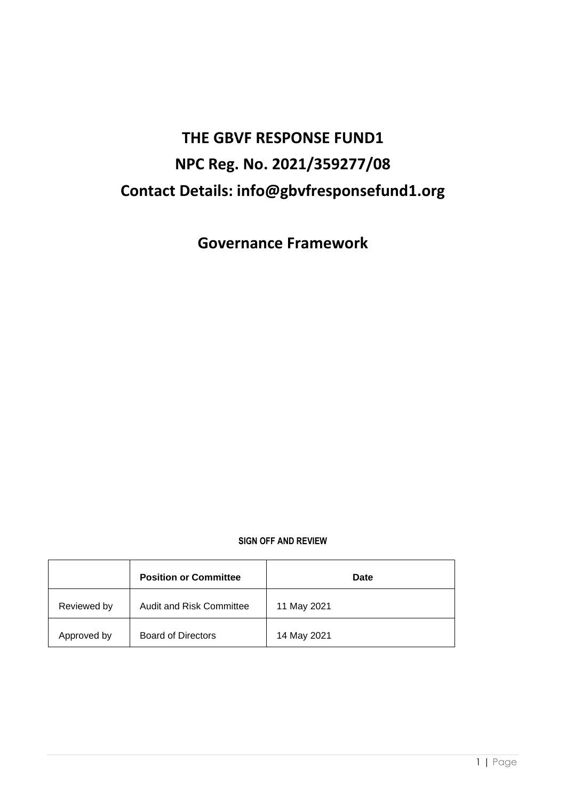# **THE GBVF RESPONSE FUND1 NPC Reg. No. 2021/359277/08 Contact Details: info@gbvfresponsefund1.org**

**Governance Framework**

# **SIGN OFF AND REVIEW**

|             | <b>Position or Committee</b>    | Date        |
|-------------|---------------------------------|-------------|
| Reviewed by | <b>Audit and Risk Committee</b> | 11 May 2021 |
| Approved by | <b>Board of Directors</b>       | 14 May 2021 |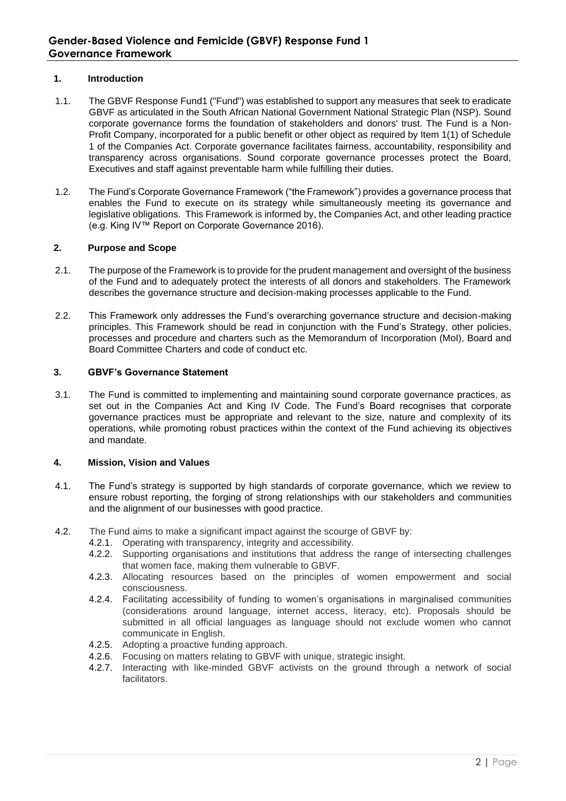# **1. Introduction**

- 1.1. The GBVF Response Fund1 ("Fund") was established to support any measures that seek to eradicate GBVF as articulated in the South African National Government National Strategic Plan (NSP). Sound corporate governance forms the foundation of stakeholders and donors' trust. The Fund is a Non-Profit Company, incorporated for a public benefit or other object as required by Item 1(1) of Schedule 1 of the Companies Act. Corporate governance facilitates fairness, accountability, responsibility and transparency across organisations. Sound corporate governance processes protect the Board, Executives and staff against preventable harm while fulfilling their duties.
- 1.2. The Fund's Corporate Governance Framework ("the Framework") provides a governance process that enables the Fund to execute on its strategy while simultaneously meeting its governance and legislative obligations. This Framework is informed by, the Companies Act, and other leading practice (e.g. King IV™ Report on Corporate Governance 2016).

# **2. Purpose and Scope**

- 2.1. The purpose of the Framework is to provide for the prudent management and oversight of the business of the Fund and to adequately protect the interests of all donors and stakeholders. The Framework describes the governance structure and decision-making processes applicable to the Fund.
- 2.2. This Framework only addresses the Fund's overarching governance structure and decision-making principles. This Framework should be read in conjunction with the Fund's Strategy, other policies, processes and procedure and charters such as the Memorandum of Incorporation (MoI), Board and Board Committee Charters and code of conduct etc.

# **3. GBVF's Governance Statement**

3.1. The Fund is committed to implementing and maintaining sound corporate governance practices, as set out in the Companies Act and King IV Code. The Fund's Board recognises that corporate governance practices must be appropriate and relevant to the size, nature and complexity of its operations, while promoting robust practices within the context of the Fund achieving its objectives and mandate.

# **4. Mission, Vision and Values**

- 4.1. The Fund's strategy is supported by high standards of corporate governance, which we review to ensure robust reporting, the forging of strong relationships with our stakeholders and communities and the alignment of our businesses with good practice.
- 4.2. The Fund aims to make a significant impact against the scourge of GBVF by:
	- 4.2.1. Operating with transparency, integrity and accessibility.
	- 4.2.2. Supporting organisations and institutions that address the range of intersecting challenges that women face, making them vulnerable to GBVF.
	- 4.2.3. Allocating resources based on the principles of women empowerment and social consciousness.
	- 4.2.4. Facilitating accessibility of funding to women's organisations in marginalised communities (considerations around language, internet access, literacy, etc). Proposals should be submitted in all official languages as language should not exclude women who cannot communicate in English.
	- 4.2.5. Adopting a proactive funding approach.
	- 4.2.6. Focusing on matters relating to GBVF with unique, strategic insight.
	- 4.2.7. Interacting with like-minded GBVF activists on the ground through a network of social facilitators.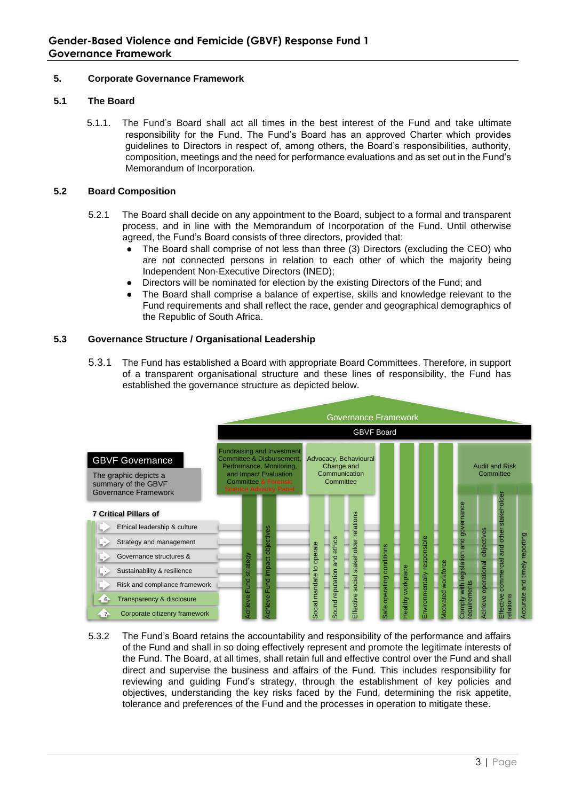# **5. Corporate Governance Framework**

# **5.1 The Board**

5.1.1. The Fund's Board shall act all times in the best interest of the Fund and take ultimate responsibility for the Fund. The Fund's Board has an approved Charter which provides guidelines to Directors in respect of, among others, the Board's responsibilities, authority, composition, meetings and the need for performance evaluations and as set out in the Fund's Memorandum of Incorporation.

### **5.2 Board Composition**

- 5.2.1 The Board shall decide on any appointment to the Board, subject to a formal and transparent process, and in line with the Memorandum of Incorporation of the Fund. Until otherwise agreed, the Fund's Board consists of three directors, provided that:
	- The Board shall comprise of not less than three (3) Directors (excluding the CEO) who are not connected persons in relation to each other of which the majority being Independent Non-Executive Directors (INED);
	- Directors will be nominated for election by the existing Directors of the Fund; and
	- The Board shall comprise a balance of expertise, skills and knowledge relevant to the Fund requirements and shall reflect the race, gender and geographical demographics of the Republic of South Africa.

### **5.3 Governance Structure / Organisational Leadership**

5.3.1 The Fund has established a Board with appropriate Board Committees. Therefore, in support of a transparent organisational structure and these lines of responsibility, the Fund has established the governance structure as depicted below.



5.3.2 The Fund's Board retains the accountability and responsibility of the performance and affairs of the Fund and shall in so doing effectively represent and promote the legitimate interests of the Fund. The Board, at all times, shall retain full and effective control over the Fund and shall direct and supervise the business and affairs of the Fund. This includes responsibility for reviewing and guiding Fund's strategy, through the establishment of key policies and objectives, understanding the key risks faced by the Fund, determining the risk appetite, tolerance and preferences of the Fund and the processes in operation to mitigate these.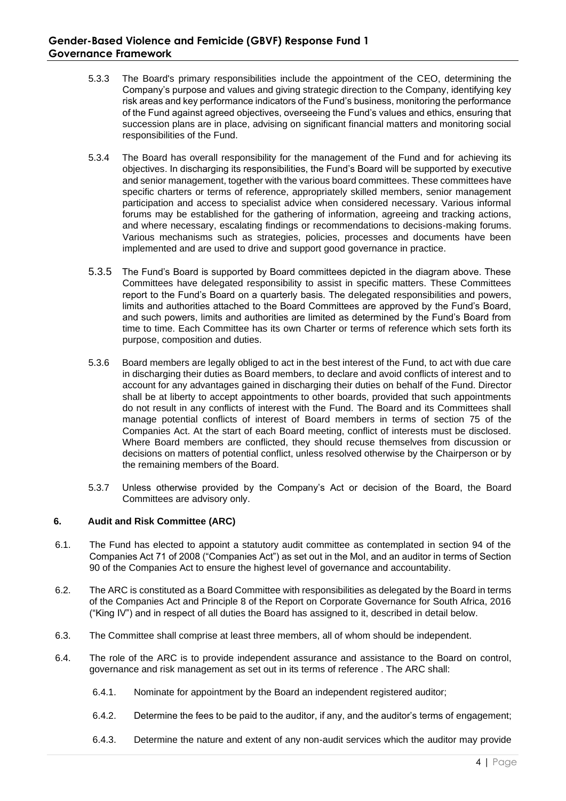- 5.3.3 The Board's primary responsibilities include the appointment of the CEO, determining the Company's purpose and values and giving strategic direction to the Company, identifying key risk areas and key performance indicators of the Fund's business, monitoring the performance of the Fund against agreed objectives, overseeing the Fund's values and ethics, ensuring that succession plans are in place, advising on significant financial matters and monitoring social responsibilities of the Fund.
- 5.3.4 The Board has overall responsibility for the management of the Fund and for achieving its objectives. In discharging its responsibilities, the Fund's Board will be supported by executive and senior management, together with the various board committees. These committees have specific charters or terms of reference, appropriately skilled members, senior management participation and access to specialist advice when considered necessary. Various informal forums may be established for the gathering of information, agreeing and tracking actions, and where necessary, escalating findings or recommendations to decisions-making forums. Various mechanisms such as strategies, policies, processes and documents have been implemented and are used to drive and support good governance in practice.
- 5.3.5 The Fund's Board is supported by Board committees depicted in the diagram above. These Committees have delegated responsibility to assist in specific matters. These Committees report to the Fund's Board on a quarterly basis. The delegated responsibilities and powers, limits and authorities attached to the Board Committees are approved by the Fund's Board, and such powers, limits and authorities are limited as determined by the Fund's Board from time to time. Each Committee has its own Charter or terms of reference which sets forth its purpose, composition and duties.
- 5.3.6 Board members are legally obliged to act in the best interest of the Fund, to act with due care in discharging their duties as Board members, to declare and avoid conflicts of interest and to account for any advantages gained in discharging their duties on behalf of the Fund. Director shall be at liberty to accept appointments to other boards, provided that such appointments do not result in any conflicts of interest with the Fund. The Board and its Committees shall manage potential conflicts of interest of Board members in terms of section 75 of the Companies Act. At the start of each Board meeting, conflict of interests must be disclosed. Where Board members are conflicted, they should recuse themselves from discussion or decisions on matters of potential conflict, unless resolved otherwise by the Chairperson or by the remaining members of the Board.
- 5.3.7 Unless otherwise provided by the Company's Act or decision of the Board, the Board Committees are advisory only.

# **6. Audit and Risk Committee (ARC)**

- 6.1. The Fund has elected to appoint a statutory audit committee as contemplated in section 94 of the Companies Act 71 of 2008 ("Companies Act") as set out in the MoI, and an auditor in terms of Section 90 of the Companies Act to ensure the highest level of governance and accountability.
- 6.2. The ARC is constituted as a Board Committee with responsibilities as delegated by the Board in terms of the Companies Act and Principle 8 of the Report on Corporate Governance for South Africa, 2016 ("King IV") and in respect of all duties the Board has assigned to it, described in detail below.
- 6.3. The Committee shall comprise at least three members, all of whom should be independent.
- 6.4. The role of the ARC is to provide independent assurance and assistance to the Board on control, governance and risk management as set out in its terms of reference . The ARC shall:
	- 6.4.1. Nominate for appointment by the Board an independent registered auditor;
	- 6.4.2. Determine the fees to be paid to the auditor, if any, and the auditor's terms of engagement;
	- 6.4.3. Determine the nature and extent of any non-audit services which the auditor may provide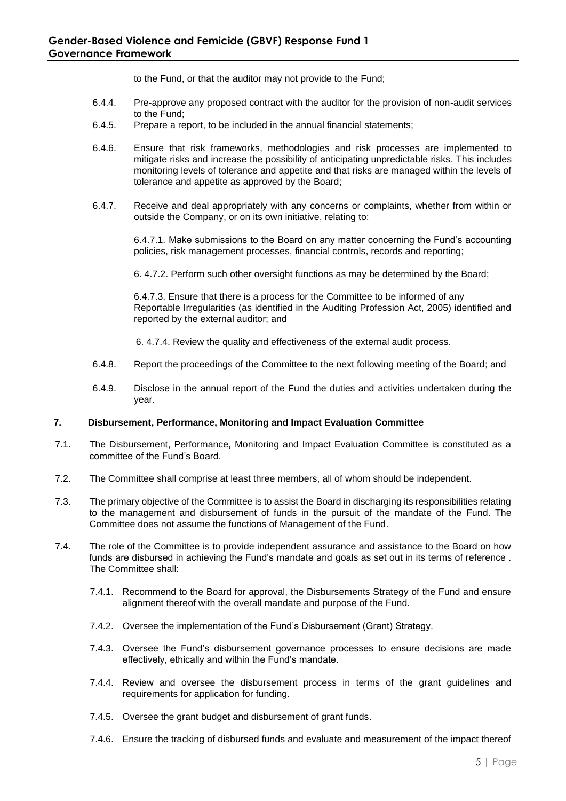to the Fund, or that the auditor may not provide to the Fund;

- 6.4.4. Pre-approve any proposed contract with the auditor for the provision of non-audit services to the Fund;
- 6.4.5. Prepare a report, to be included in the annual financial statements;
- 6.4.6. Ensure that risk frameworks, methodologies and risk processes are implemented to mitigate risks and increase the possibility of anticipating unpredictable risks. This includes monitoring levels of tolerance and appetite and that risks are managed within the levels of tolerance and appetite as approved by the Board;
- 6.4.7. Receive and deal appropriately with any concerns or complaints, whether from within or outside the Company, or on its own initiative, relating to:

6.4.7.1. Make submissions to the Board on any matter concerning the Fund's accounting policies, risk management processes, financial controls, records and reporting;

6. 4.7.2. Perform such other oversight functions as may be determined by the Board;

6.4.7.3. Ensure that there is a process for the Committee to be informed of any Reportable Irregularities (as identified in the Auditing Profession Act, 2005) identified and reported by the external auditor; and

6. 4.7.4. Review the quality and effectiveness of the external audit process.

- 6.4.8. Report the proceedings of the Committee to the next following meeting of the Board; and
- 6.4.9. Disclose in the annual report of the Fund the duties and activities undertaken during the year.

#### **7. Disbursement, Performance, Monitoring and Impact Evaluation Committee**

- 7.1. The Disbursement, Performance, Monitoring and Impact Evaluation Committee is constituted as a committee of the Fund's Board.
- 7.2. The Committee shall comprise at least three members, all of whom should be independent.
- 7.3. The primary objective of the Committee is to assist the Board in discharging its responsibilities relating to the management and disbursement of funds in the pursuit of the mandate of the Fund. The Committee does not assume the functions of Management of the Fund.
- 7.4. The role of the Committee is to provide independent assurance and assistance to the Board on how funds are disbursed in achieving the Fund's mandate and goals as set out in its terms of reference . The Committee shall:
	- 7.4.1. Recommend to the Board for approval, the Disbursements Strategy of the Fund and ensure alignment thereof with the overall mandate and purpose of the Fund.
	- 7.4.2. Oversee the implementation of the Fund's Disbursement (Grant) Strategy.
	- 7.4.3. Oversee the Fund's disbursement governance processes to ensure decisions are made effectively, ethically and within the Fund's mandate.
	- 7.4.4. Review and oversee the disbursement process in terms of the grant guidelines and requirements for application for funding.
	- 7.4.5. Oversee the grant budget and disbursement of grant funds.
	- 7.4.6. Ensure the tracking of disbursed funds and evaluate and measurement of the impact thereof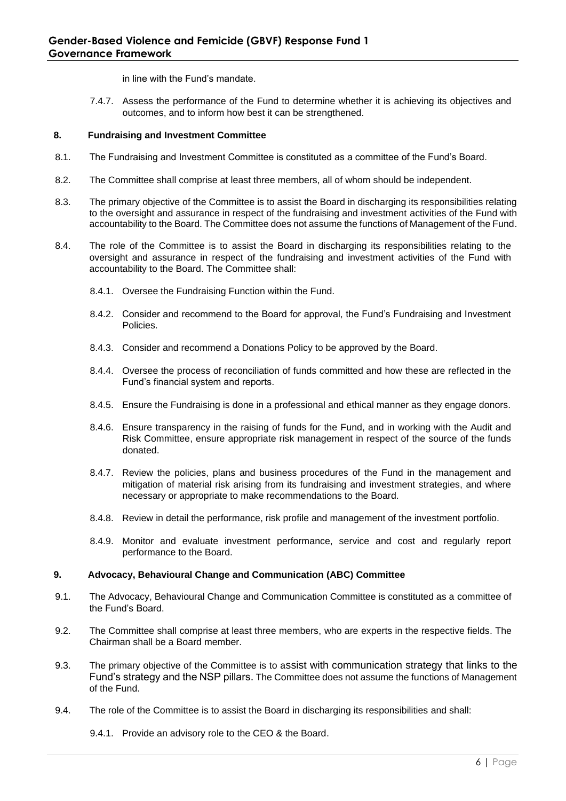in line with the Fund's mandate.

7.4.7. Assess the performance of the Fund to determine whether it is achieving its objectives and outcomes, and to inform how best it can be strengthened.

# **8. Fundraising and Investment Committee**

- 8.1. The Fundraising and Investment Committee is constituted as a committee of the Fund's Board.
- 8.2. The Committee shall comprise at least three members, all of whom should be independent.
- 8.3. The primary objective of the Committee is to assist the Board in discharging its responsibilities relating to the oversight and assurance in respect of the fundraising and investment activities of the Fund with accountability to the Board. The Committee does not assume the functions of Management of the Fund.
- 8.4. The role of the Committee is to assist the Board in discharging its responsibilities relating to the oversight and assurance in respect of the fundraising and investment activities of the Fund with accountability to the Board. The Committee shall:
	- 8.4.1. Oversee the Fundraising Function within the Fund.
	- 8.4.2. Consider and recommend to the Board for approval, the Fund's Fundraising and Investment Policies.
	- 8.4.3. Consider and recommend a Donations Policy to be approved by the Board.
	- 8.4.4. Oversee the process of reconciliation of funds committed and how these are reflected in the Fund's financial system and reports.
	- 8.4.5. Ensure the Fundraising is done in a professional and ethical manner as they engage donors.
	- 8.4.6. Ensure transparency in the raising of funds for the Fund, and in working with the Audit and Risk Committee, ensure appropriate risk management in respect of the source of the funds donated.
	- 8.4.7. Review the policies, plans and business procedures of the Fund in the management and mitigation of material risk arising from its fundraising and investment strategies, and where necessary or appropriate to make recommendations to the Board.
	- 8.4.8. Review in detail the performance, risk profile and management of the investment portfolio.
	- 8.4.9. Monitor and evaluate investment performance, service and cost and regularly report performance to the Board.

# **9. Advocacy, Behavioural Change and Communication (ABC) Committee**

- 9.1. The Advocacy, Behavioural Change and Communication Committee is constituted as a committee of the Fund's Board.
- 9.2. The Committee shall comprise at least three members, who are experts in the respective fields. The Chairman shall be a Board member.
- 9.3. The primary objective of the Committee is to assist with communication strategy that links to the Fund's strategy and the NSP pillars. The Committee does not assume the functions of Management of the Fund.
- 9.4. The role of the Committee is to assist the Board in discharging its responsibilities and shall:

9.4.1. Provide an advisory role to the CEO & the Board.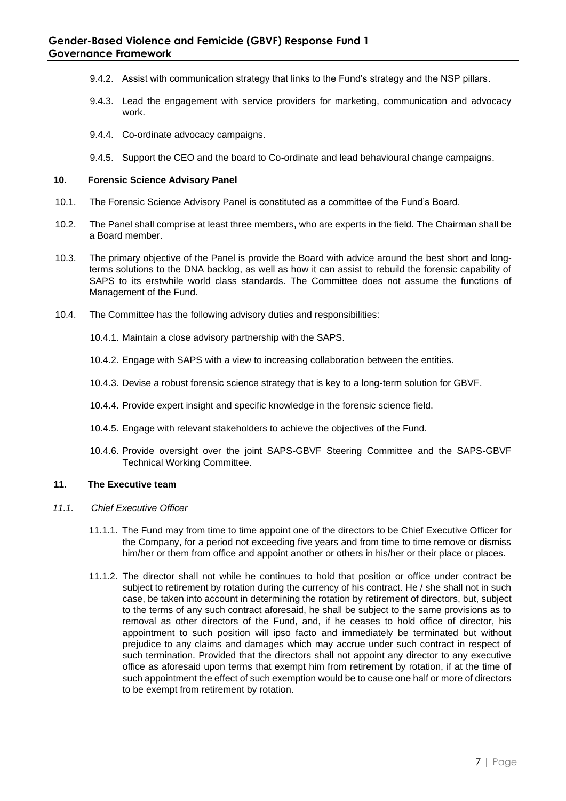- 9.4.2. Assist with communication strategy that links to the Fund's strategy and the NSP pillars.
- 9.4.3. Lead the engagement with service providers for marketing, communication and advocacy work.
- 9.4.4. Co-ordinate advocacy campaigns.
- 9.4.5. Support the CEO and the board to Co-ordinate and lead behavioural change campaigns.

### **10. Forensic Science Advisory Panel**

- 10.1. The Forensic Science Advisory Panel is constituted as a committee of the Fund's Board.
- 10.2. The Panel shall comprise at least three members, who are experts in the field. The Chairman shall be a Board member.
- 10.3. The primary objective of the Panel is provide the Board with advice around the best short and longterms solutions to the DNA backlog, as well as how it can assist to rebuild the forensic capability of SAPS to its erstwhile world class standards. The Committee does not assume the functions of Management of the Fund.
- 10.4. The Committee has the following advisory duties and responsibilities:
	- 10.4.1. Maintain a close advisory partnership with the SAPS.
	- 10.4.2. Engage with SAPS with a view to increasing collaboration between the entities.
	- 10.4.3. Devise a robust forensic science strategy that is key to a long-term solution for GBVF.
	- 10.4.4. Provide expert insight and specific knowledge in the forensic science field.
	- 10.4.5. Engage with relevant stakeholders to achieve the objectives of the Fund.
	- 10.4.6. Provide oversight over the joint SAPS-GBVF Steering Committee and the SAPS-GBVF Technical Working Committee.

# **11. The Executive team**

- *11.1. Chief Executive Officer*
	- 11.1.1. The Fund may from time to time appoint one of the directors to be Chief Executive Officer for the Company, for a period not exceeding five years and from time to time remove or dismiss him/her or them from office and appoint another or others in his/her or their place or places.
	- 11.1.2. The director shall not while he continues to hold that position or office under contract be subject to retirement by rotation during the currency of his contract. He / she shall not in such case, be taken into account in determining the rotation by retirement of directors, but, subject to the terms of any such contract aforesaid, he shall be subject to the same provisions as to removal as other directors of the Fund, and, if he ceases to hold office of director, his appointment to such position will ipso facto and immediately be terminated but without prejudice to any claims and damages which may accrue under such contract in respect of such termination. Provided that the directors shall not appoint any director to any executive office as aforesaid upon terms that exempt him from retirement by rotation, if at the time of such appointment the effect of such exemption would be to cause one half or more of directors to be exempt from retirement by rotation.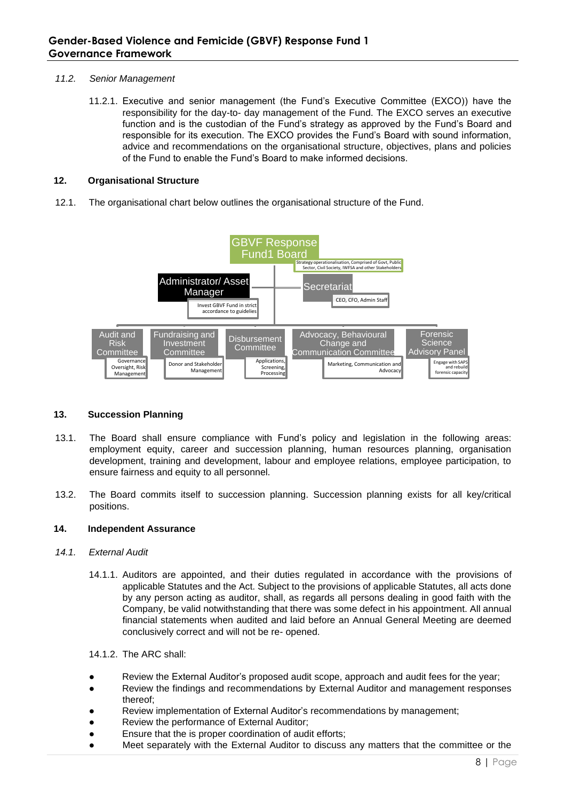# *11.2. Senior Management*

11.2.1. Executive and senior management (the Fund's Executive Committee (EXCO)) have the responsibility for the day-to- day management of the Fund. The EXCO serves an executive function and is the custodian of the Fund's strategy as approved by the Fund's Board and responsible for its execution. The EXCO provides the Fund's Board with sound information, advice and recommendations on the organisational structure, objectives, plans and policies of the Fund to enable the Fund's Board to make informed decisions.

# **12. Organisational Structure**

12.1. The organisational chart below outlines the organisational structure of the Fund.



# **13. Succession Planning**

- 13.1. The Board shall ensure compliance with Fund's policy and legislation in the following areas: employment equity, career and succession planning, human resources planning, organisation development, training and development, labour and employee relations, employee participation, to ensure fairness and equity to all personnel.
- 13.2. The Board commits itself to succession planning. Succession planning exists for all key/critical positions.

# **14. Independent Assurance**

# *14.1. External Audit*

- 14.1.1. Auditors are appointed, and their duties regulated in accordance with the provisions of applicable Statutes and the Act. Subject to the provisions of applicable Statutes, all acts done by any person acting as auditor, shall, as regards all persons dealing in good faith with the Company, be valid notwithstanding that there was some defect in his appointment. All annual financial statements when audited and laid before an Annual General Meeting are deemed conclusively correct and will not be re- opened.
- 14.1.2. The ARC shall:
- Review the External Auditor's proposed audit scope, approach and audit fees for the year;
- Review the findings and recommendations by External Auditor and management responses thereof;
- Review implementation of External Auditor's recommendations by management;
- Review the performance of External Auditor;
- Ensure that the is proper coordination of audit efforts;
- Meet separately with the External Auditor to discuss any matters that the committee or the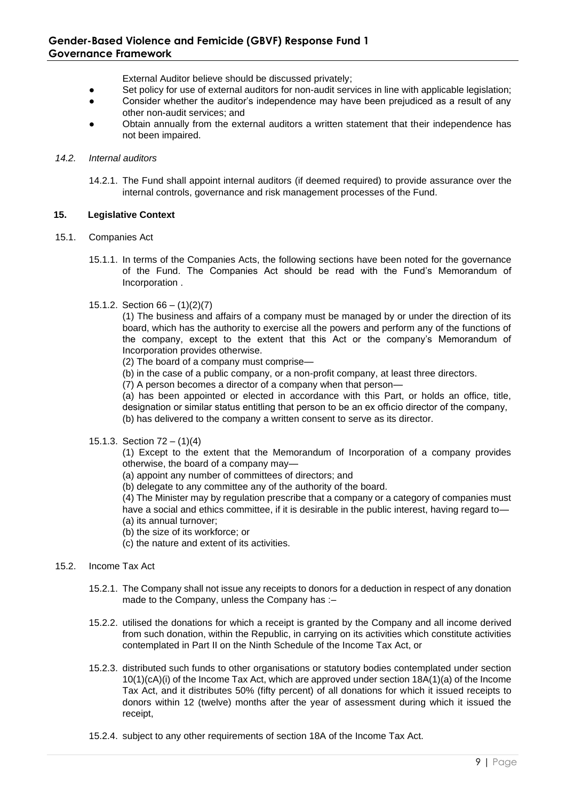External Auditor believe should be discussed privately;

- Set policy for use of external auditors for non-audit services in line with applicable legislation;
- Consider whether the auditor's independence may have been prejudiced as a result of any other non-audit services; and
- Obtain annually from the external auditors a written statement that their independence has not been impaired.

### *14.2. Internal auditors*

14.2.1. The Fund shall appoint internal auditors (if deemed required) to provide assurance over the internal controls, governance and risk management processes of the Fund.

### **15. Legislative Context**

- 15.1. Companies Act
	- 15.1.1. In terms of the Companies Acts, the following sections have been noted for the governance of the Fund. The Companies Act should be read with the Fund's Memorandum of Incorporation .

### 15.1.2. Section 66 – (1)(2)(7)

(1) The business and affairs of a company must be managed by or under the direction of its board, which has the authority to exercise all the powers and perform any of the functions of the company, except to the extent that this Act or the company's Memorandum of Incorporation provides otherwise.

(2) The board of a company must comprise—

- (b) in the case of a public company, or a non-profit company, at least three directors.
- (7) A person becomes a director of a company when that person—

(a) has been appointed or elected in accordance with this Part, or holds an office, title, designation or similar status entitling that person to be an ex offıcio director of the company, (b) has delivered to the company a written consent to serve as its director.

15.1.3. Section 72 – (1)(4)

(1) Except to the extent that the Memorandum of Incorporation of a company provides otherwise, the board of a company may—

- (a) appoint any number of committees of directors; and
- (b) delegate to any committee any of the authority of the board.

(4) The Minister may by regulation prescribe that a company or a category of companies must have a social and ethics committee, if it is desirable in the public interest, having regard to-(a) its annual turnover;

- (b) the size of its workforce; or
- (c) the nature and extent of its activities.
- 

# 15.2. Income Tax Act

- 15.2.1. The Company shall not issue any receipts to donors for a deduction in respect of any donation made to the Company, unless the Company has :–
- 15.2.2. utilised the donations for which a receipt is granted by the Company and all income derived from such donation, within the Republic, in carrying on its activities which constitute activities contemplated in Part II on the Ninth Schedule of the Income Tax Act, or
- 15.2.3. distributed such funds to other organisations or statutory bodies contemplated under section 10(1)(cA)(i) of the Income Tax Act, which are approved under section 18A(1)(a) of the Income Tax Act, and it distributes 50% (fifty percent) of all donations for which it issued receipts to donors within 12 (twelve) months after the year of assessment during which it issued the receipt,
- 15.2.4. subject to any other requirements of section 18A of the Income Tax Act.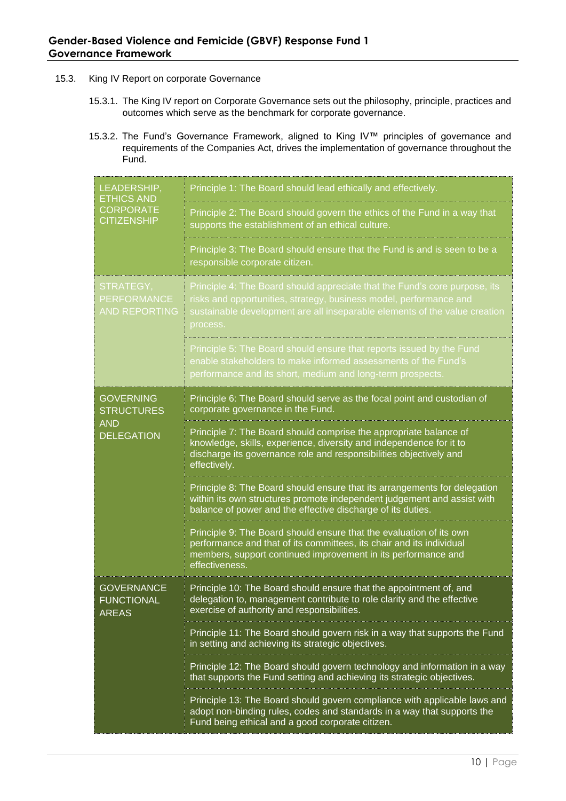- 15.3. King IV Report on corporate Governance
	- 15.3.1. The King IV report on Corporate Governance sets out the philosophy, principle, practices and outcomes which serve as the benchmark for corporate governance.
	- 15.3.2. The Fund's Governance Framework, aligned to King IV™ principles of governance and requirements of the Companies Act, drives the implementation of governance throughout the Fund.

| LEADERSHIP,<br><b>ETHICS AND</b><br><b>CORPORATE</b><br><b>CITIZENSHIP</b> | Principle 1: The Board should lead ethically and effectively.                                                                                                                                                                              |  |
|----------------------------------------------------------------------------|--------------------------------------------------------------------------------------------------------------------------------------------------------------------------------------------------------------------------------------------|--|
|                                                                            | Principle 2: The Board should govern the ethics of the Fund in a way that<br>supports the establishment of an ethical culture.                                                                                                             |  |
|                                                                            | Principle 3: The Board should ensure that the Fund is and is seen to be a<br>responsible corporate citizen.                                                                                                                                |  |
| STRATEGY,<br><b>PERFORMANCE</b><br><b>AND REPORTING</b>                    | Principle 4: The Board should appreciate that the Fund's core purpose, its<br>risks and opportunities, strategy, business model, performance and<br>sustainable development are all inseparable elements of the value creation<br>process. |  |
|                                                                            | Principle 5: The Board should ensure that reports issued by the Fund<br>enable stakeholders to make informed assessments of the Fund's<br>performance and its short, medium and long-term prospects.                                       |  |
| <b>GOVERNING</b><br><b>STRUCTURES</b><br><b>AND</b><br><b>DELEGATION</b>   | Principle 6: The Board should serve as the focal point and custodian of<br>corporate governance in the Fund.                                                                                                                               |  |
|                                                                            | Principle 7: The Board should comprise the appropriate balance of<br>knowledge, skills, experience, diversity and independence for it to<br>discharge its governance role and responsibilities objectively and<br>effectively.             |  |
|                                                                            | Principle 8: The Board should ensure that its arrangements for delegation<br>within its own structures promote independent judgement and assist with<br>balance of power and the effective discharge of its duties.                        |  |
|                                                                            | Principle 9: The Board should ensure that the evaluation of its own<br>performance and that of its committees, its chair and its individual<br>members, support continued improvement in its performance and<br>effectiveness.             |  |
| <b>GOVERNANCE</b><br><b>FUNCTIONAL</b><br><b>AREAS</b>                     | Principle 10: The Board should ensure that the appointment of, and<br>delegation to, management contribute to role clarity and the effective<br>exercise of authority and responsibilities.                                                |  |
|                                                                            | Principle 11: The Board should govern risk in a way that supports the Fund<br>in setting and achieving its strategic objectives.                                                                                                           |  |
|                                                                            | Principle 12: The Board should govern technology and information in a way<br>that supports the Fund setting and achieving its strategic objectives.                                                                                        |  |
|                                                                            | Principle 13: The Board should govern compliance with applicable laws and<br>adopt non-binding rules, codes and standards in a way that supports the<br>Fund being ethical and a good corporate citizen.                                   |  |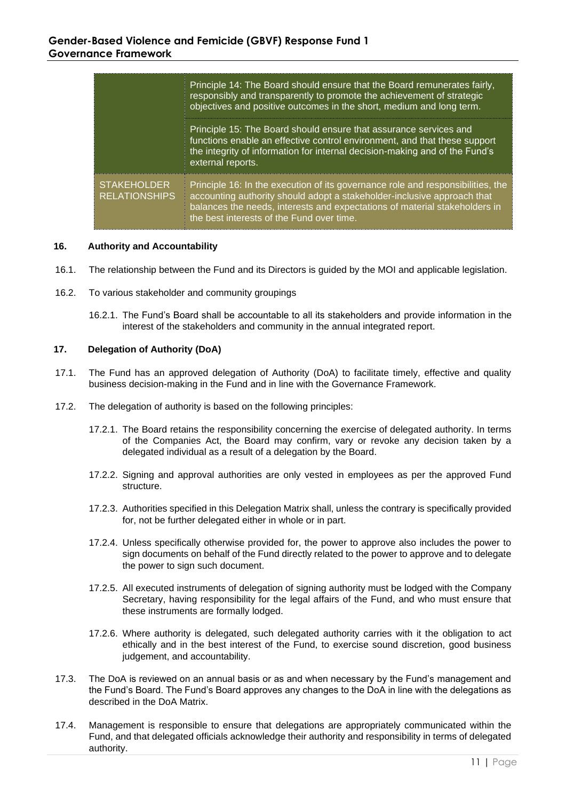|                                            | Principle 14: The Board should ensure that the Board remunerates fairly,<br>responsibly and transparently to promote the achievement of strategic<br>objectives and positive outcomes in the short, medium and long term.                                                             |  |
|--------------------------------------------|---------------------------------------------------------------------------------------------------------------------------------------------------------------------------------------------------------------------------------------------------------------------------------------|--|
|                                            | Principle 15: The Board should ensure that assurance services and<br>functions enable an effective control environment, and that these support<br>the integrity of information for internal decision-making and of the Fund's<br>external reports.                                    |  |
| <b>STAKEHOLDER</b><br><b>RELATIONSHIPS</b> | Principle 16: In the execution of its governance role and responsibilities, the<br>accounting authority should adopt a stakeholder-inclusive approach that<br>balances the needs, interests and expectations of material stakeholders in<br>the best interests of the Fund over time. |  |

#### **16. Authority and Accountability**

- 16.1. The relationship between the Fund and its Directors is guided by the MOI and applicable legislation.
- 16.2. To various stakeholder and community groupings
	- 16.2.1. The Fund's Board shall be accountable to all its stakeholders and provide information in the interest of the stakeholders and community in the annual integrated report.

### **17. Delegation of Authority (DoA)**

- 17.1. The Fund has an approved delegation of Authority (DoA) to facilitate timely, effective and quality business decision-making in the Fund and in line with the Governance Framework.
- 17.2. The delegation of authority is based on the following principles:
	- 17.2.1. The Board retains the responsibility concerning the exercise of delegated authority. In terms of the Companies Act, the Board may confirm, vary or revoke any decision taken by a delegated individual as a result of a delegation by the Board.
	- 17.2.2. Signing and approval authorities are only vested in employees as per the approved Fund structure.
	- 17.2.3. Authorities specified in this Delegation Matrix shall, unless the contrary is specifically provided for, not be further delegated either in whole or in part.
	- 17.2.4. Unless specifically otherwise provided for, the power to approve also includes the power to sign documents on behalf of the Fund directly related to the power to approve and to delegate the power to sign such document.
	- 17.2.5. All executed instruments of delegation of signing authority must be lodged with the Company Secretary, having responsibility for the legal affairs of the Fund, and who must ensure that these instruments are formally lodged.
	- 17.2.6. Where authority is delegated, such delegated authority carries with it the obligation to act ethically and in the best interest of the Fund, to exercise sound discretion, good business judgement, and accountability.
- 17.3. The DoA is reviewed on an annual basis or as and when necessary by the Fund's management and the Fund's Board. The Fund's Board approves any changes to the DoA in line with the delegations as described in the DoA Matrix.
- 17.4. Management is responsible to ensure that delegations are appropriately communicated within the Fund, and that delegated officials acknowledge their authority and responsibility in terms of delegated authority.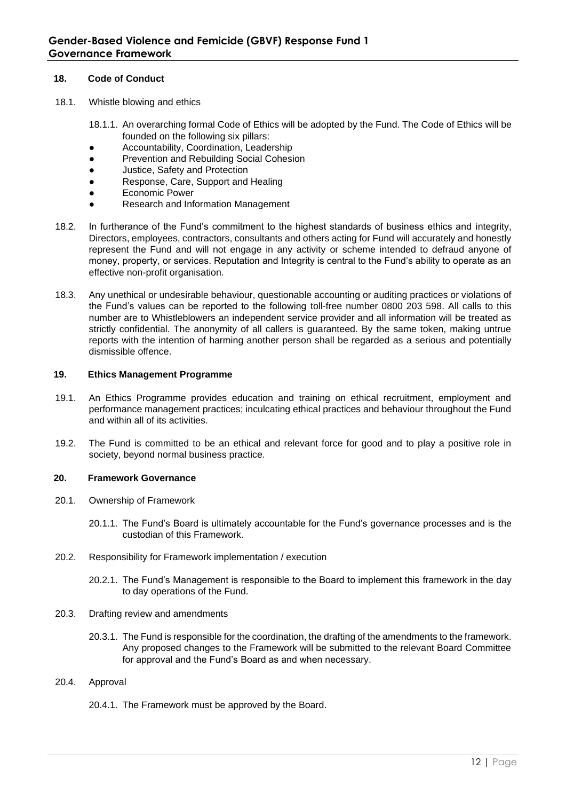## **18. Code of Conduct**

- 18.1. Whistle blowing and ethics
	- 18.1.1. An overarching formal Code of Ethics will be adopted by the Fund. The Code of Ethics will be founded on the following six pillars:
	- Accountability, Coordination, Leadership
	- Prevention and Rebuilding Social Cohesion
	- Justice, Safety and Protection
	- Response, Care, Support and Healing
	- Economic Power
	- Research and Information Management
- 18.2. In furtherance of the Fund's commitment to the highest standards of business ethics and integrity, Directors, employees, contractors, consultants and others acting for Fund will accurately and honestly represent the Fund and will not engage in any activity or scheme intended to defraud anyone of money, property, or services. Reputation and Integrity is central to the Fund's ability to operate as an effective non-profit organisation.
- 18.3. Any unethical or undesirable behaviour, questionable accounting or auditing practices or violations of the Fund's values can be reported to the following toll-free number 0800 203 598. All calls to this number are to Whistleblowers an independent service provider and all information will be treated as strictly confidential. The anonymity of all callers is guaranteed. By the same token, making untrue reports with the intention of harming another person shall be regarded as a serious and potentially dismissible offence.

# **19. Ethics Management Programme**

- 19.1. An Ethics Programme provides education and training on ethical recruitment, employment and performance management practices; inculcating ethical practices and behaviour throughout the Fund and within all of its activities.
- 19.2. The Fund is committed to be an ethical and relevant force for good and to play a positive role in society, beyond normal business practice.

# **20. Framework Governance**

- 20.1. Ownership of Framework
	- 20.1.1. The Fund's Board is ultimately accountable for the Fund's governance processes and is the custodian of this Framework.
- 20.2. Responsibility for Framework implementation / execution
	- 20.2.1. The Fund's Management is responsible to the Board to implement this framework in the day to day operations of the Fund.
- 20.3. Drafting review and amendments
	- 20.3.1. The Fund is responsible for the coordination, the drafting of the amendments to the framework. Any proposed changes to the Framework will be submitted to the relevant Board Committee for approval and the Fund's Board as and when necessary.
- 20.4. Approval
	- 20.4.1. The Framework must be approved by the Board.